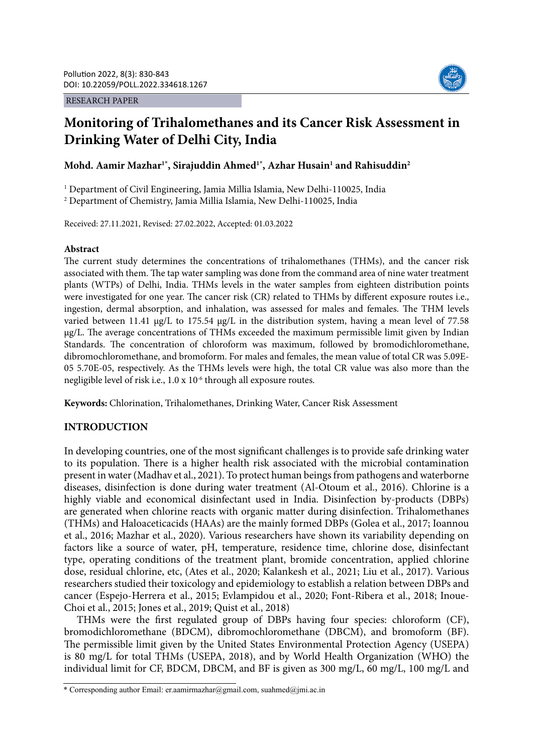#### RESEARCH PAPER



# **Monitoring of Trihalomethanes and its Cancer Risk Assessment in Drinking Water of Delhi City, India**

# **Mohd. Aamir Mazhar1\* , Sirajuddin Ahmed1\* , Azhar Husain1 and Rahisuddin2**

1 Department of Civil Engineering, Jamia Millia Islamia, New Delhi-110025, India

2 Department of Chemistry, Jamia Millia Islamia, New Delhi-110025, India

Received: 27.11.2021, Revised: 27.02.2022, Accepted: 01.03.2022

## **Abstract**

The current study determines the concentrations of trihalomethanes (THMs), and the cancer risk associated with them. The tap water sampling was done from the command area of nine water treatment plants (WTPs) of Delhi, India. THMs levels in the water samples from eighteen distribution points were investigated for one year. The cancer risk (CR) related to THMs by different exposure routes i.e., ingestion, dermal absorption, and inhalation, was assessed for males and females. The THM levels varied between 11.41 µg/L to 175.54 µg/L in the distribution system, having a mean level of 77.58 µg/L. The average concentrations of THMs exceeded the maximum permissible limit given by Indian Standards. The concentration of chloroform was maximum, followed by bromodichloromethane, dibromochloromethane, and bromoform. For males and females, the mean value of total CR was 5.09E-05 5.70E-05, respectively. As the THMs levels were high, the total CR value was also more than the negligible level of risk i.e., 1.0 x 10<sup>-6</sup> through all exposure routes.

**Keywords:** Chlorination, Trihalomethanes, Drinking Water, Cancer Risk Assessment

## **INTRODUCTION**

In developing countries, one of the most significant challenges is to provide safe drinking water to its population. There is a higher health risk associated with the microbial contamination present in water (Madhav et al., 2021). To protect human beings from pathogens and waterborne diseases, disinfection is done during water treatment (Al-Otoum et al., 2016). Chlorine is a highly viable and economical disinfectant used in India. Disinfection by-products (DBPs) are generated when chlorine reacts with organic matter during disinfection. Trihalomethanes (THMs) and Haloaceticacids (HAAs) are the mainly formed DBPs (Golea et al., 2017; Ioannou et al., 2016; Mazhar et al., 2020). Various researchers have shown its variability depending on factors like a source of water, pH, temperature, residence time, chlorine dose, disinfectant type, operating conditions of the treatment plant, bromide concentration, applied chlorine dose, residual chlorine, etc, (Ates et al., 2020; Kalankesh et al., 2021; Liu et al., 2017). Various researchers studied their toxicology and epidemiology to establish a relation between DBPs and cancer (Espejo-Herrera et al., 2015; Evlampidou et al., 2020; Font-Ribera et al., 2018; Inoue-Choi et al., 2015; Jones et al., 2019; Quist et al., 2018)

THMs were the first regulated group of DBPs having four species: chloroform (CF), bromodichloromethane (BDCM), dibromochloromethane (DBCM), and bromoform (BF). The permissible limit given by the United States Environmental Protection Agency (USEPA) is 80 mg/L for total THMs (USEPA, 2018), and by World Health Organization (WHO) the individual limit for CF, BDCM, DBCM, and BF is given as 300 mg/L, 60 mg/L, 100 mg/L and

<sup>\*</sup> Corresponding author Email: er.aamirmazhar@gmail.com, suahmed@jmi.ac.in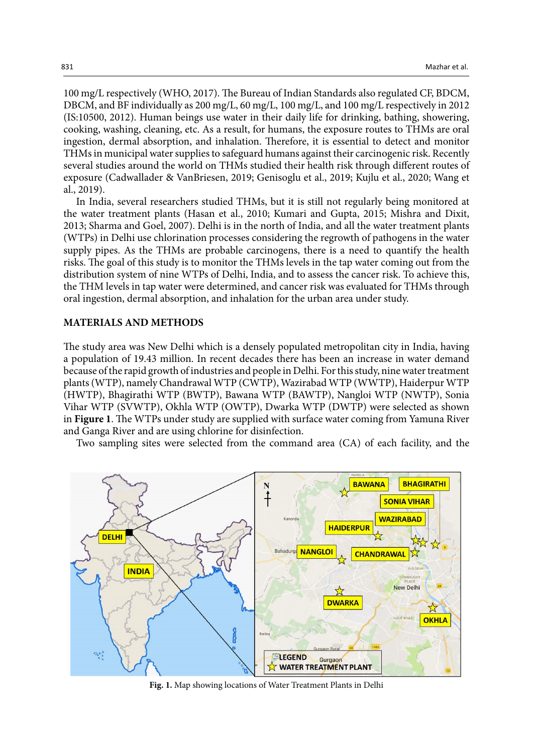100 mg/L respectively (WHO, 2017). The Bureau of Indian Standards also regulated CF, BDCM, DBCM, and BF individually as 200 mg/L, 60 mg/L, 100 mg/L, and 100 mg/L respectively in 2012 (IS:10500, 2012). Human beings use water in their daily life for drinking, bathing, showering, cooking, washing, cleaning, etc. As a result, for humans, the exposure routes to THMs are oral ingestion, dermal absorption, and inhalation. Therefore, it is essential to detect and monitor THMs in municipal water supplies to safeguard humans against their carcinogenic risk. Recently several studies around the world on THMs studied their health risk through different routes of exposure (Cadwallader & VanBriesen, 2019; Genisoglu et al., 2019; Kujlu et al., 2020; Wang et al., 2019).

In India, several researchers studied THMs, but it is still not regularly being monitored at the water treatment plants (Hasan et al., 2010; Kumari and Gupta, 2015; Mishra and Dixit, 2013; Sharma and Goel, 2007). Delhi is in the north of India, and all the water treatment plants (WTPs) in Delhi use chlorination processes considering the regrowth of pathogens in the water supply pipes. As the THMs are probable carcinogens, there is a need to quantify the health risks. The goal of this study is to monitor the THMs levels in the tap water coming out from the distribution system of nine WTPs of Delhi, India, and to assess the cancer risk. To achieve this, the THM levels in tap water were determined, and cancer risk was evaluated for THMs through oral ingestion, dermal absorption, and inhalation for the urban area under study.

#### **MATERIALS AND METHODS**

The study area was New Delhi which is a densely populated metropolitan city in India, having a population of 19.43 million. In recent decades there has been an increase in water demand because of the rapid growth of industries and people in Delhi. For this study, nine water treatment plants (WTP), namely Chandrawal WTP (CWTP), Wazirabad WTP (WWTP), Haiderpur WTP (HWTP), Bhagirathi WTP (BWTP), Bawana WTP (BAWTP), Nangloi WTP (NWTP), Sonia Vihar WTP (SVWTP), Okhla WTP (OWTP), Dwarka WTP (DWTP) were selected as shown in **Figure 1**. The WTPs under study are supplied with surface water coming from Yamuna River and Ganga River and are using chlorine for disinfection.

Two sampling sites were selected from the command area (CA) of each facility, and the



**Figure 1: Map showing locations of Water Treatment Plants in Delhi Fig. 1.** Map showing locations of Water Treatment Plants in Delhi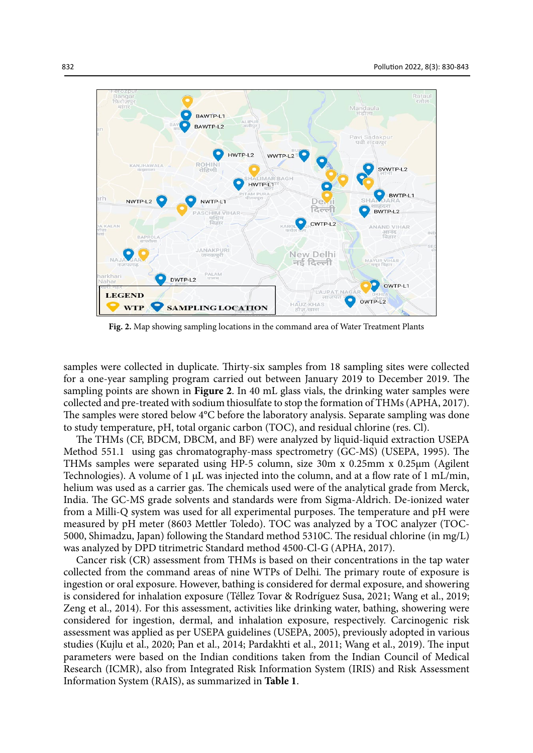

Fig. 2. Map showing sampling locations in the command area of Water Treatment Plants

samples were collected in duplicate. Thirty-six samples from 18 sampling sites were collected for a one-year sampling program carried out between January 2019 to December 2019. The sampling points are shown in **Figure 2**. In 40 mL glass vials, the drinking water samples were collected and pre-treated with sodium thiosulfate to stop the formation of THMs (APHA, 2017). The samples were stored below 4°C before the laboratory analysis. Separate sampling was done to study temperature, pH, total organic carbon (TOC), and residual chlorine (res. Cl).

The THMs (CF, BDCM, DBCM, and BF) were analyzed by liquid-liquid extraction USEPA Method 551.1 using gas chromatography-mass spectrometry (GC-MS) (USEPA, 1995). The THMs samples were separated using HP-5 column, size 30m x 0.25mm x 0.25μm (Agilent Technologies). A volume of 1  $\mu$ L was injected into the column, and at a flow rate of 1 mL/min, helium was used as a carrier gas. The chemicals used were of the analytical grade from Merck, India. The GC-MS grade solvents and standards were from Sigma-Aldrich. De-ionized water from a Milli-Q system was used for all experimental purposes. The temperature and pH were measured by pH meter (8603 Mettler Toledo). TOC was analyzed by a TOC analyzer (TOC-5000, Shimadzu, Japan) following the Standard method 5310C. The residual chlorine (in mg/L) was analyzed by DPD titrimetric Standard method 4500-Cl-G (APHA, 2017).

Cancer risk (CR) assessment from THMs is based on their concentrations in the tap water collected from the command areas of nine WTPs of Delhi. The primary route of exposure is ingestion or oral exposure. However, bathing is considered for dermal exposure, and showering is considered for inhalation exposure (Téllez Tovar & Rodríguez Susa, 2021; Wang et al., 2019; Zeng et al., 2014). For this assessment, activities like drinking water, bathing, showering were considered for ingestion, dermal, and inhalation exposure, respectively. Carcinogenic risk assessment was applied as per USEPA guidelines (USEPA, 2005), previously adopted in various studies (Kujlu et al., 2020; Pan et al., 2014; Pardakhti et al., 2011; Wang et al., 2019). The input parameters were based on the Indian conditions taken from the Indian Council of Medical Research (ICMR), also from Integrated Risk Information System (IRIS) and Risk Assessment Information System (RAIS), as summarized in **Table 1**.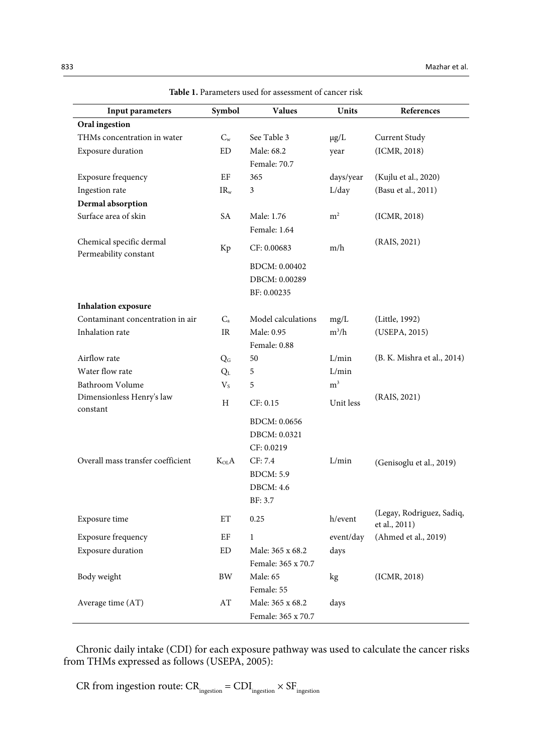| Input parameters                  | Symbol    | <b>Values</b>      | Units          | References                                 |
|-----------------------------------|-----------|--------------------|----------------|--------------------------------------------|
| Oral ingestion                    |           |                    |                |                                            |
| THMs concentration in water       | $C_{w}$   | See Table 3        | $\mu g/L$      | Current Study                              |
| Exposure duration                 | ED        | Male: 68.2         | year           | (ICMR, 2018)                               |
|                                   |           | Female: 70.7       |                |                                            |
| Exposure frequency                | EF        | 365                | days/year      | (Kujlu et al., 2020)                       |
| Ingestion rate                    | $IR_{w}$  | 3                  | L/day          | (Basu et al., 2011)                        |
| Dermal absorption                 |           |                    |                |                                            |
| Surface area of skin              | SA        | Male: 1.76         | m <sup>2</sup> | (ICMR, 2018)                               |
|                                   |           | Female: 1.64       |                |                                            |
| Chemical specific dermal          | Kp        | CF: 0.00683        | m/h            | (RAIS, 2021)                               |
| Permeability constant             |           |                    |                |                                            |
|                                   |           | BDCM: 0.00402      |                |                                            |
|                                   |           | DBCM: 0.00289      |                |                                            |
|                                   |           | BF: 0.00235        |                |                                            |
| <b>Inhalation exposure</b>        |           |                    |                |                                            |
| Contaminant concentration in air  | $C_{a}$   | Model calculations | mg/L           | (Little, 1992)                             |
| Inhalation rate                   | IR        | Male: 0.95         | $m^3/h$        | (USEPA, 2015)                              |
|                                   |           | Female: 0.88       |                |                                            |
| Airflow rate                      | $Q_{G}$   | 50                 | L/min          | (B. K. Mishra et al., 2014)                |
| Water flow rate                   | $Q_{L}$   | 5                  | L/min          |                                            |
| Bathroom Volume                   | $V_{S}$   | 5                  | m <sup>3</sup> |                                            |
| Dimensionless Henry's law         | H         | CF: 0.15           | Unit less      | (RAIS, 2021)                               |
| constant                          |           |                    |                |                                            |
|                                   |           | BDCM: 0.0656       |                |                                            |
|                                   |           | DBCM: 0.0321       |                |                                            |
|                                   |           | CF: 0.0219         |                |                                            |
| Overall mass transfer coefficient | $K_{OL}A$ | CF: 7.4            | L/min          | (Genisoglu et al., 2019)                   |
|                                   |           | <b>BDCM: 5.9</b>   |                |                                            |
|                                   |           | <b>DBCM: 4.6</b>   |                |                                            |
|                                   |           | BF: 3.7            |                |                                            |
| Exposure time                     | ET        | 0.25               | h/event        | (Legay, Rodriguez, Sadiq,<br>et al., 2011) |
| Exposure frequency                | EF        | $\mathbf 1$        | event/day      | (Ahmed et al., 2019)                       |
| Exposure duration                 | ED        | Male: 365 x 68.2   | days           |                                            |
|                                   |           | Female: 365 x 70.7 |                |                                            |
| Body weight                       | BW        | Male: 65           | kg             | (ICMR, 2018)                               |
|                                   |           | Female: 55         |                |                                            |
| Average time (AT)                 | AT        | Male: 365 x 68.2   | days           |                                            |
|                                   |           | Female: 365 x 70.7 |                |                                            |
|                                   |           |                    |                |                                            |

**Table 1: Parameters used for assessment of cancer risk Table 1.** Parameters used for assessment of cancer risk

Chronic daily intake (CDI) for each exposure pathway was used to calculate the cancer risks from THMs expressed as follows (USEPA, 2005):

CR from ingestion route:  $CR_{\text{integration}} = CDI_{\text{integration}} \times SF_{\text{integration}}$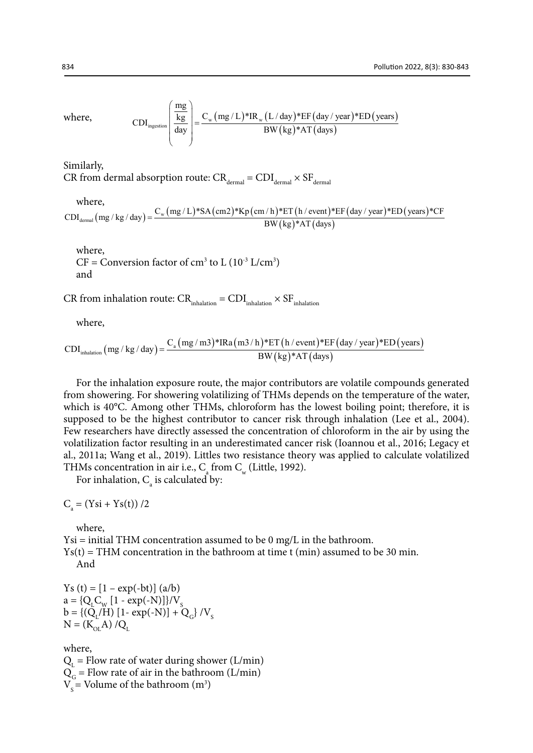where,  
\n
$$
\text{CDI}_{\text{ingestion}}\left(\frac{\frac{\text{mg}}{\text{kg}}}{\text{day}}\right) = \frac{C_{\text{w}}(\text{mg}/L)^* \text{IR}_{\text{w}}(L/\text{day})^* \text{EF}(\text{day}/\text{year})^* \text{ED}(\text{years})}{\text{BW}(\text{kg})^* \text{AT}(\text{days})}
$$

Similarly,

CR from dermal absorption route:  $CR_{\text{dermal}} = CDI_{\text{dermal}} \times SF_{\text{dermal}}$ 

where,

$$
CDI_{\text{dermal}}(mg/kg/day) = \frac{C_w (mg/L)*SA(cm2)*Kp(cm/h)*ET(h/event)*EF (day/year)*ED (years)*CF}{BW (kg)*AT (days)}
$$

where,  $CF =$  Conversion factor of cm<sup>3</sup> to L (10<sup>-3</sup> L/cm<sup>3</sup>) and

CR from inhalation route:  $CR_{\text{inhalation}} = CDI_{\text{inhalation}} \times SF_{\text{inhalation}}$ 

where,

$$
CDI_{\text{inhalation}}(mg / kg / day) = \frac{C_a (mg / m3)*\text{IRa}(m3/h)*\text{ET}(h / event)*\text{EF}(day / year)*\text{ED}(years)}{BW (kg)*AT (days)}
$$

For the inhalation exposure route, the major contributors are volatile compounds generated from showering. For showering volatilizing of THMs depends on the temperature of the water, which is 40°C. Among other THMs, chloroform has the lowest boiling point; therefore, it is supposed to be the highest contributor to cancer risk through inhalation (Lee et al., 2004). Few researchers have directly assessed the concentration of chloroform in the air by using the volatilization factor resulting in an underestimated cancer risk (Ioannou et al., 2016; Legacy et al., 2011a; Wang et al., 2019). Littles two resistance theory was applied to calculate volatilized THMs concentration in air i.e.,  $C_{\rm a}$  from  $C_{\rm w}$  (Little, 1992).

For inhalation,  $C_{\mathbf{a}}$  is calculated by:

$$
C_a = (Ysi + Ys(t)) / 2
$$

where,

 $Ysi = initial THM$  concentration assumed to be 0 mg/L in the bathroom.  $Ys(t) = THM$  concentration in the bathroom at time t (min) assumed to be 30 min. And

Ys (t) =  $[1 - \exp(-bt)] (a/b)$  $a = {Q<sub>L</sub> C<sub>W</sub> [1 - exp(-N)]} / V<sub>s</sub>$  $b = \{ (Q_L/H) [1 - exp(-N)] + Q_G \} / V_S$  $N = (K_{\text{or}} A) / Q_{\text{r}}$ 

where,

 $Q_{L}$  = Flow rate of water during shower (L/min)  $Q_G$  = Flow rate of air in the bathroom (L/min)  $V_s$  = Volume of the bathroom (m<sup>3</sup>)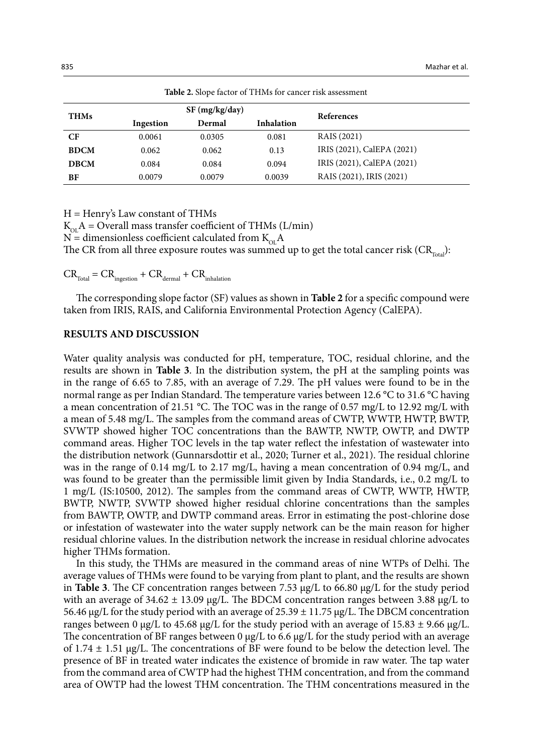| <b>THMs</b> |           | SF (mg/kg/day) |            | <b>References</b>          |  |
|-------------|-----------|----------------|------------|----------------------------|--|
|             | Ingestion | Dermal         | Inhalation |                            |  |
| CF          | 0.0061    | 0.0305         | 0.081      | RAIS (2021)                |  |
| <b>BDCM</b> | 0.062     | 0.062          | 0.13       | IRIS (2021), CalEPA (2021) |  |
| <b>DBCM</b> | 0.084     | 0.084          | 0.094      | IRIS (2021), CalEPA (2021) |  |
| BF          | 0.0079    | 0.0079         | 0.0039     | RAIS (2021), IRIS (2021)   |  |

**Table 2: Slope factor of THMs for cancer risk assessment Table 2.** Slope factor of THMs for cancer risk assessment

 $H =$  Henry's Law constant of THMs

 $K_{\text{OL}}$ A = Overall mass transfer coefficient of THMs (L/min)

 $N =$  dimensionless coefficient calculated from  $K_{\text{ou}}A$ 

The CR from all three exposure routes was summed up to get the total cancer risk  $(CR_{T_{total}})$ :

 $CR_{\text{Total}} = CR_{\text{integration}} + CR_{\text{dermal}} + CR_{\text{inhalation}}$ 

The corresponding slope factor (SF) values as shown in **Table 2** for a specific compound were taken from IRIS, RAIS, and California Environmental Protection Agency (CalEPA).

## **RESULTS AND DISCUSSION**

Water quality analysis was conducted for pH, temperature, TOC, residual chlorine, and the results are shown in **Table 3**. In the distribution system, the pH at the sampling points was in the range of 6.65 to 7.85, with an average of 7.29. The pH values were found to be in the normal range as per Indian Standard. The temperature varies between 12.6 °C to 31.6 °C having a mean concentration of 21.51 °C. The TOC was in the range of 0.57 mg/L to 12.92 mg/L with a mean of 5.48 mg/L. The samples from the command areas of CWTP, WWTP, HWTP, BWTP, SVWTP showed higher TOC concentrations than the BAWTP, NWTP, OWTP, and DWTP command areas. Higher TOC levels in the tap water reflect the infestation of wastewater into the distribution network (Gunnarsdottir et al., 2020; Turner et al., 2021). The residual chlorine was in the range of 0.14 mg/L to 2.17 mg/L, having a mean concentration of 0.94 mg/L, and was found to be greater than the permissible limit given by India Standards, i.e., 0.2 mg/L to 1 mg/L (IS:10500, 2012). The samples from the command areas of CWTP, WWTP, HWTP, BWTP, NWTP, SVWTP showed higher residual chlorine concentrations than the samples from BAWTP, OWTP, and DWTP command areas. Error in estimating the post-chlorine dose or infestation of wastewater into the water supply network can be the main reason for higher residual chlorine values. In the distribution network the increase in residual chlorine advocates higher THMs formation.

In this study, the THMs are measured in the command areas of nine WTPs of Delhi. The average values of THMs were found to be varying from plant to plant, and the results are shown in **Table 3**. The CF concentration ranges between 7.53 µg/L to 66.80 µg/L for the study period with an average of 34.62  $\pm$  13.09 µg/L. The BDCM concentration ranges between 3.88 µg/L to 56.46  $\mu$ g/L for the study period with an average of 25.39  $\pm$  11.75  $\mu$ g/L. The DBCM concentration ranges between 0  $\mu$ g/L to 45.68  $\mu$ g/L for the study period with an average of 15.83  $\pm$  9.66  $\mu$ g/L. The concentration of BF ranges between  $0 \mu g/L$  to 6.6  $\mu g/L$  for the study period with an average of 1.74  $\pm$  1.51 µg/L. The concentrations of BF were found to be below the detection level. The presence of BF in treated water indicates the existence of bromide in raw water. The tap water from the command area of CWTP had the highest THM concentration, and from the command area of OWTP had the lowest THM concentration. The THM concentrations measured in the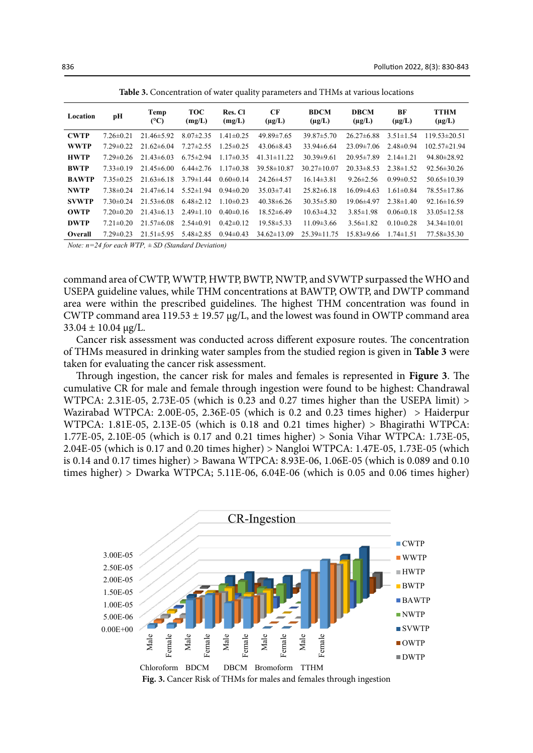| Location     | pH              | Temp<br>(C)      | <b>TOC</b><br>(mg/L) | Res. Cl<br>(mg/L) | CF<br>$(\mu g/L)$ | <b>BDCM</b><br>$(\mu g/L)$ | <b>DBCM</b><br>$(\mu g/L)$ | BF<br>$(\mu g/L)$ | <b>TTHM</b><br>$(\mu g/L)$ |
|--------------|-----------------|------------------|----------------------|-------------------|-------------------|----------------------------|----------------------------|-------------------|----------------------------|
| <b>CWTP</b>  | $7.26 \pm 0.21$ | $21.46 \pm 5.92$ | $8.07 \pm 2.35$      | $.41\pm0.25$      | $49.89 \pm 7.65$  | $39.87 \pm 5.70$           | $26.27\pm 6.88$            | $3.51 \pm 1.54$   | $119.53 \pm 20.51$         |
| <b>WWTP</b>  | $7.29 \pm 0.22$ | $21.62\pm 6.04$  | $7.27 \pm 2.55$      | $1.25 \pm 0.25$   | $43.06\pm8.43$    | $33.94\pm 6.64$            | $23.09 \pm 7.06$           | $2.48 \pm 0.94$   | $102.57 \pm 21.94$         |
| <b>HWTP</b>  | $7.29 \pm 0.26$ | $21.43\pm 6.03$  | $6.75 \pm 2.94$      | $1.17\pm0.35$     | $41.31 \pm 11.22$ | $30.39 \pm 9.61$           | $20.95 \pm 7.89$           | $2.14 \pm 1.21$   | $94.80 \pm 28.92$          |
| <b>BWTP</b>  | $7.33 \pm 0.19$ | $21.45\pm 6.00$  | $6.44\pm2.76$        | $1.17\pm0.38$     | 39.58±10.87       | $30.27 \pm 10.07$          | $20.33\pm8.53$             | $2.38\pm1.52$     | $92.56 \pm 30.26$          |
| <b>BAWTP</b> | $7.35 \pm 0.25$ | $21.63\pm 6.18$  | $3.79 \pm 1.44$      | $0.60 \pm 0.14$   | $24.26\pm4.57$    | $16.14\pm3.81$             | $9.26 \pm 2.56$            | $0.99 \pm 0.52$   | $50.65 \pm 10.39$          |
| <b>NWTP</b>  | $7.38 \pm 0.24$ | $21.47\pm 6.14$  | $5.52 \pm 1.94$      | $0.94 \pm 0.20$   | $35.03 \pm 7.41$  | $25.82\pm 6.18$            | $16.09\pm4.63$             | $1.61 \pm 0.84$   | 78.55±17.86                |
| <b>SVWTP</b> | $7.30 \pm 0.24$ | $21.53\pm 6.08$  | $6.48 \pm 2.12$      | $1.10 \pm 0.23$   | $40.38\pm 6.26$   | $30.35 \pm 5.80$           | 19.06±4.97                 | $2.38 \pm 1.40$   | $92.16 \pm 16.59$          |
| <b>OWTP</b>  | $7.20 \pm 0.20$ | $21.43\pm 6.13$  | $2.49 \pm 1.10$      | $0.40\pm0.16$     | $18.52\pm 6.49$   | $10.63\pm4.32$             | $3.85 \pm 1.98$            | $0.06 \pm 0.18$   | $33.05 \pm 12.58$          |
| <b>DWTP</b>  | $7.21 \pm 0.20$ | $21.57\pm 6.08$  | $2.54\pm0.91$        | $0.42\pm0.12$     | $19.58 \pm 5.33$  | $11.09\pm3.66$             | $3.56 \pm 1.82$            | $0.10 \pm 0.28$   | $34.34 \pm 10.01$          |
| Overall      | $7.29 \pm 0.23$ | $21.51 \pm 5.95$ | $5.48 \pm 2.85$      | $0.94 \pm 0.43$   | $34.62 \pm 13.09$ | $25.39\pm11.75$            | $15.83\pm9.66$             | $1.74 \pm 1.51$   | $77.58 \pm 35.30$          |
|              |                 |                  |                      |                   |                   |                            |                            |                   |                            |

**Table 3: Concentration of water quality parameters and THMs at various locations Table 3.** Concentration of water quality parameters and THMs at various locations

*Note: n=24 for each WTP, ± SD (Standard Deviation)*

command area of CWTP, WWTP, HWTP, BWTP, NWTP, and SVWTP surpassed the WHO and USEPA guideline values, while THM concentrations at BAWTP, OWTP, and DWTP command area were within the prescribed guidelines. The highest THM concentration was found in CWTP command area 119.53  $\pm$  19.57 µg/L, and the lowest was found in OWTP command area  $33.04 \pm 10.04$  µg/L.

Cancer risk assessment was conducted across different exposure routes. The concentration of THMs measured in drinking water samples from the studied region is given in **Table 3** were taken for evaluating the cancer risk assessment.

Through ingestion, the cancer risk for males and females is represented in **Figure 3**. The cumulative CR for male and female through ingestion were found to be highest: Chandrawal WTPCA: 2.31E-05, 2.73E-05 (which is 0.23 and 0.27 times higher than the USEPA limit)  $>$ Wazirabad WTPCA: 2.00E-05, 2.36E-05 (which is 0.2 and 0.23 times higher) > Haiderpur WTPCA: 1.81E-05, 2.13E-05 (which is 0.18 and 0.21 times higher) > Bhagirathi WTPCA: 1.77E-05, 2.10E-05 (which is 0.17 and 0.21 times higher) > Sonia Vihar WTPCA: 1.73E-05, 2.04E-05 (which is 0.17 and 0.20 times higher) > Nangloi WTPCA: 1.47E-05, 1.73E-05 (which is 0.14 and 0.17 times higher) > Bawana WTPCA: 8.93E-06, 1.06E-05 (which is 0.089 and 0.10 times higher) > Dwarka WTPCA; 5.11E-06, 6.04E-06 (which is 0.05 and 0.06 times higher)



**Fig. 3.** Cancer Risk of THMs for males and females through ingestion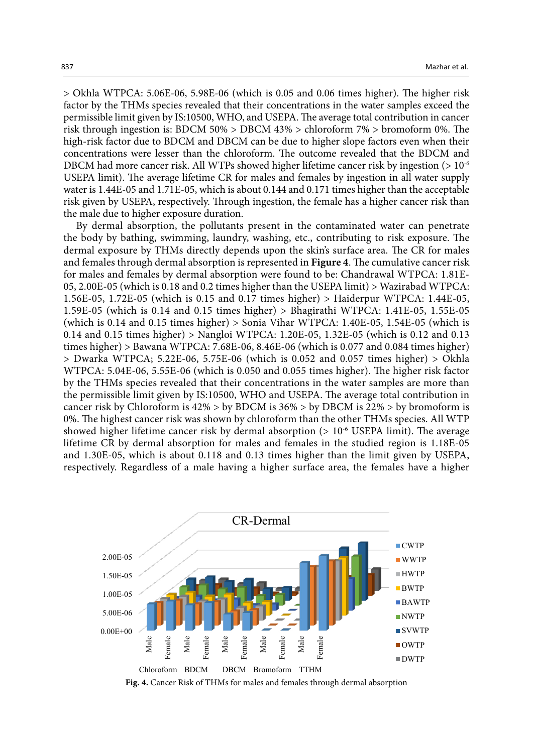> Okhla WTPCA: 5.06E-06, 5.98E-06 (which is 0.05 and 0.06 times higher). The higher risk factor by the THMs species revealed that their concentrations in the water samples exceed the permissible limit given by IS:10500, WHO, and USEPA. The average total contribution in cancer risk through ingestion is: BDCM 50% > DBCM 43% > chloroform 7% > bromoform 0%. The high-risk factor due to BDCM and DBCM can be due to higher slope factors even when their concentrations were lesser than the chloroform. The outcome revealed that the BDCM and DBCM had more cancer risk. All WTPs showed higher lifetime cancer risk by ingestion ( $>10^{-6}$ ) USEPA limit). The average lifetime CR for males and females by ingestion in all water supply water is 1.44E-05 and 1.71E-05, which is about 0.144 and 0.171 times higher than the acceptable risk given by USEPA, respectively. Through ingestion, the female has a higher cancer risk than the male due to higher exposure duration.

By dermal absorption, the pollutants present in the contaminated water can penetrate the body by bathing, swimming, laundry, washing, etc., contributing to risk exposure. The dermal exposure by THMs directly depends upon the skin's surface area. The CR for males and females through dermal absorption is represented in **Figure 4**. The cumulative cancer risk for males and females by dermal absorption were found to be: Chandrawal WTPCA: 1.81E-05, 2.00E-05 (which is 0.18 and 0.2 times higher than the USEPA limit) > Wazirabad WTPCA: 1.56E-05, 1.72E-05 (which is 0.15 and 0.17 times higher) > Haiderpur WTPCA: 1.44E-05, 1.59E-05 (which is 0.14 and 0.15 times higher) > Bhagirathi WTPCA: 1.41E-05, 1.55E-05 (which is 0.14 and 0.15 times higher)  $>$  Sonia Vihar WTPCA: 1.40E-05, 1.54E-05 (which is 0.14 and 0.15 times higher) > Nangloi WTPCA: 1.20E-05, 1.32E-05 (which is 0.12 and 0.13 times higher) > Bawana WTPCA: 7.68E-06, 8.46E-06 (which is 0.077 and 0.084 times higher) > Dwarka WTPCA; 5.22E-06, 5.75E-06 (which is 0.052 and 0.057 times higher) > Okhla WTPCA: 5.04E-06, 5.55E-06 (which is 0.050 and 0.055 times higher). The higher risk factor by the THMs species revealed that their concentrations in the water samples are more than the permissible limit given by IS:10500, WHO and USEPA. The average total contribution in cancer risk by Chloroform is  $42\%$  > by BDCM is  $36\%$  > by DBCM is  $22\%$  > by bromoform is 0%. The highest cancer risk was shown by chloroform than the other THMs species. All WTP showed higher lifetime cancer risk by dermal absorption  $(>10^{-6} \text{ USEPA limit})$ . The average lifetime CR by dermal absorption for males and females in the studied region is 1.18E-05 and 1.30E-05, which is about 0.118 and 0.13 times higher than the limit given by USEPA, respectively. Regardless of a male having a higher surface area, the females have a higher



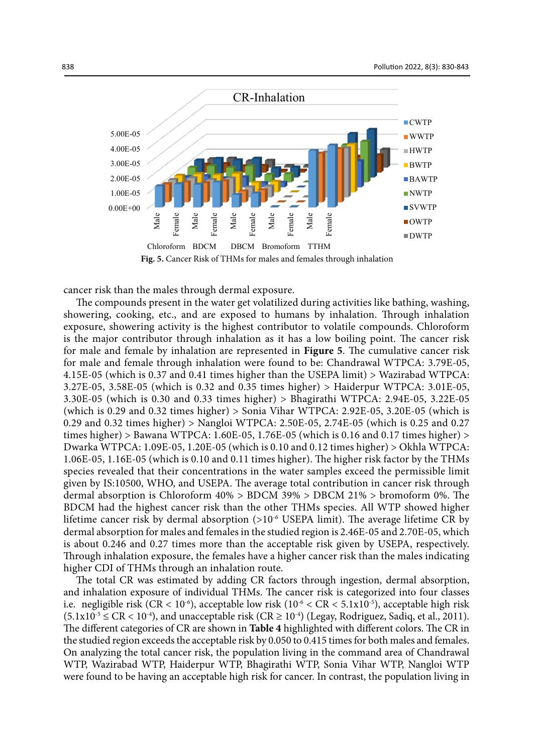

**Fig. 5.** Cancer Risk of THMs for males and females through inhalation

cancer risk than the males through dermal exposure.

The compounds present in the water get volatilized during activities like bathing, washing, showering, cooking, etc., and are exposed to humans by inhalation. Through inhalation exposure, showering activity is the highest contributor to volatile compounds. Chloroform is the major contributor through inhalation as it has a low boiling point. The cancer risk for male and female by inhalation are represented in **Figure 5**. The cumulative cancer risk for male and female through inhalation were found to be: Chandrawal WTPCA: 3.79E-05, 4.15E-05 (which is 0.37 and 0.41 times higher than the USEPA limit) > Wazirabad WTPCA: 3.27E-05, 3.58E-05 (which is 0.32 and 0.35 times higher) > Haiderpur WTPCA: 3.01E-05, 3.30E-05 (which is 0.30 and 0.33 times higher) > Bhagirathi WTPCA: 2.94E-05, 3.22E-05 (which is 0.29 and 0.32 times higher) > Sonia Vihar WTPCA: 2.92E-05, 3.20E-05 (which is 0.29 and 0.32 times higher) > Nangloi WTPCA: 2.50E-05, 2.74E-05 (which is 0.25 and 0.27 times higher) > Bawana WTPCA: 1.60E-05, 1.76E-05 (which is 0.16 and 0.17 times higher) > Dwarka WTPCA: 1.09E-05, 1.20E-05 (which is 0.10 and 0.12 times higher) > Okhla WTPCA: 1.06E-05, 1.16E-05 (which is 0.10 and 0.11 times higher). The higher risk factor by the THMs species revealed that their concentrations in the water samples exceed the permissible limit given by IS:10500, WHO, and USEPA. The average total contribution in cancer risk through dermal absorption is Chloroform 40% > BDCM 39% > DBCM 21% > bromoform 0%. The BDCM had the highest cancer risk than the other THMs species. All WTP showed higher lifetime cancer risk by dermal absorption (>10<sup>-6</sup> USEPA limit). The average lifetime CR by dermal absorption for males and females in the studied region is 2.46E-05 and 2.70E-05, which is about 0.246 and 0.27 times more than the acceptable risk given by USEPA, respectively. Through inhalation exposure, the females have a higher cancer risk than the males indicating higher CDI of THMs through an inhalation route.

The total CR was estimated by adding CR factors through ingestion, dermal absorption, and inhalation exposure of individual THMs. The cancer risk is categorized into four classes i.e. negligible risk (CR <  $10^{-6}$ ), acceptable low risk ( $10^{-6}$  < CR <  $5.1 \times 10^{-5}$ ), acceptable high risk  $(5.1x10^{-5} \leq CR < 10^{-4})$ , and unacceptable risk  $(CR \geq 10^{-4})$  (Legay, Rodriguez, Sadiq, et al., 2011). The different categories of CR are shown in **Table 4** highlighted with different colors. The CR in the studied region exceeds the acceptable risk by 0.050 to 0.415 times for both males and females. On analyzing the total cancer risk, the population living in the command area of Chandrawal WTP, Wazirabad WTP, Haiderpur WTP, Bhagirathi WTP, Sonia Vihar WTP, Nangloi WTP were found to be having an acceptable high risk for cancer. In contrast, the population living in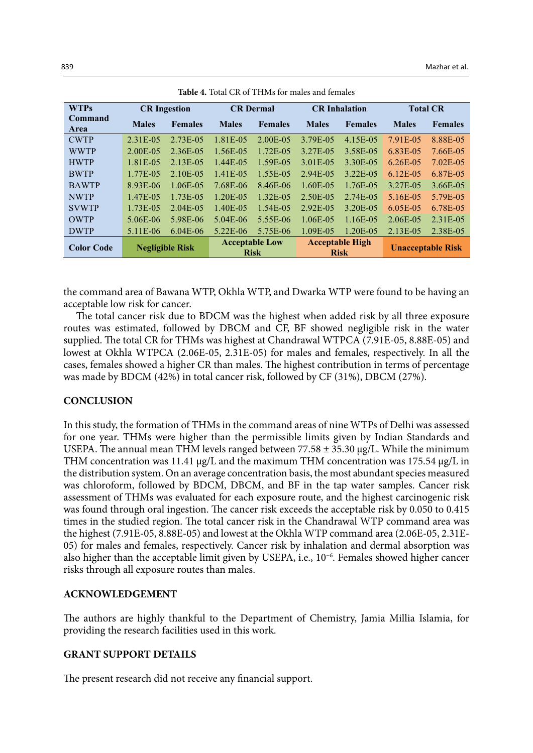| <b>WTPs</b>       | <b>CR</b> Ingestion    |                | <b>CR</b> Dermal                     |                | <b>CR</b> Inhalation                  |                | <b>Total CR</b>          |                |
|-------------------|------------------------|----------------|--------------------------------------|----------------|---------------------------------------|----------------|--------------------------|----------------|
| Command<br>Area   | <b>Males</b>           | <b>Females</b> | <b>Males</b>                         | <b>Females</b> | <b>Males</b>                          | <b>Females</b> | <b>Males</b>             | <b>Females</b> |
| <b>CWTP</b>       | 2.31E-05               | 2.73E-05       | 1.81E-05                             | 2.00E-05       | 3.79E-05                              | 4.15E-05       | 7.91E-05                 | 8.88E-05       |
| <b>WWTP</b>       | 2.00E-05               | 2.36E-05       | 1.56E-05                             | $1.72E-0.5$    | 3.27E-05                              | 3.58E-05       | 6.83E-05                 | 7.66E-05       |
| <b>HWTP</b>       | 1.81E-05               | 2.13E-05       | $1.44E-0.5$                          | 1.59E-05       | 3.01E-05                              | 3.30E-05       | $6.26E-0.5$              | $7.02E - 0.5$  |
| <b>BWTP</b>       | 1.77E-05               | 2.10E-05       | $1.41E-0.5$                          | 1.55E-05       | 2.94E-05                              | 3.22E-05       | $6.12E-0.5$              | 6.87E-05       |
| <b>BAWTP</b>      | 8.93E-06               | 1.06E-05       | 7.68E-06                             | 8.46E-06       | $1.60E-0.5$                           | 1.76E-05       | 3.27E-05                 | 3.66E-05       |
| <b>NWTP</b>       | 1.47E-05               | 1.73E-05       | 1.20E-05                             | $1.32E-0.5$    | 2.50E-05                              | 2.74E-05       | 5.16E-05                 | 5.79E-05       |
| <b>SVWTP</b>      | 1.73E-05               | $2.04E - 0.5$  | $1.40E-0.5$                          | 1.54E-05       | 2.92E-05                              | 3.20E-05       | $6.05E - 0.5$            | 6.78E-05       |
| <b>OWTP</b>       | 5.06E-06               | 5.98E-06       | $5.04E - 06$                         | 5.55E-06       | 1.06E-05                              | 1.16E-05       | 2.06E-05                 | 2.31E-05       |
| <b>DWTP</b>       | 5.11E-06               | $6.04E-06$     | 5.22E-06                             | 5.75E-06       | 1.09E-05                              | 1.20E-05       | 2.13E-05                 | 2.38E-05       |
| <b>Color Code</b> | <b>Negligible Risk</b> |                | <b>Acceptable Low</b><br><b>Risk</b> |                | <b>Acceptable High</b><br><b>Risk</b> |                | <b>Unacceptable Risk</b> |                |

**Table 4.** Total CR of THMs for males and females **Table 4: Total CR of THMs for males and females**

the command area of Bawana WTP, Okhla WTP, and Dwarka WTP were found to be having an acceptable low risk for cancer.

The total cancer risk due to BDCM was the highest when added risk by all three exposure routes was estimated, followed by DBCM and CF, BF showed negligible risk in the water supplied. The total CR for THMs was highest at Chandrawal WTPCA (7.91E-05, 8.88E-05) and lowest at Okhla WTPCA (2.06E-05, 2.31E-05) for males and females, respectively. In all the cases, females showed a higher CR than males. The highest contribution in terms of percentage was made by BDCM (42%) in total cancer risk, followed by CF (31%), DBCM (27%).

#### **CONCLUSION**

In this study, the formation of THMs in the command areas of nine WTPs of Delhi was assessed for one year. THMs were higher than the permissible limits given by Indian Standards and USEPA. The annual mean THM levels ranged between  $77.58 \pm 35.30$  µg/L. While the minimum THM concentration was 11.41 µg/L and the maximum THM concentration was 175.54 µg/L in the distribution system. On an average concentration basis, the most abundant species measured was chloroform, followed by BDCM, DBCM, and BF in the tap water samples. Cancer risk assessment of THMs was evaluated for each exposure route, and the highest carcinogenic risk was found through oral ingestion. The cancer risk exceeds the acceptable risk by 0.050 to 0.415 times in the studied region. The total cancer risk in the Chandrawal WTP command area was the highest (7.91E-05, 8.88E-05) and lowest at the Okhla WTP command area (2.06E-05, 2.31E-05) for males and females, respectively. Cancer risk by inhalation and dermal absorption was also higher than the acceptable limit given by USEPA, i.e., 10−6. Females showed higher cancer risks through all exposure routes than males.

## **ACKNOWLEDGEMENT**

The authors are highly thankful to the Department of Chemistry, Jamia Millia Islamia, for providing the research facilities used in this work.

## **GRANT SUPPORT DETAILS**

The present research did not receive any financial support.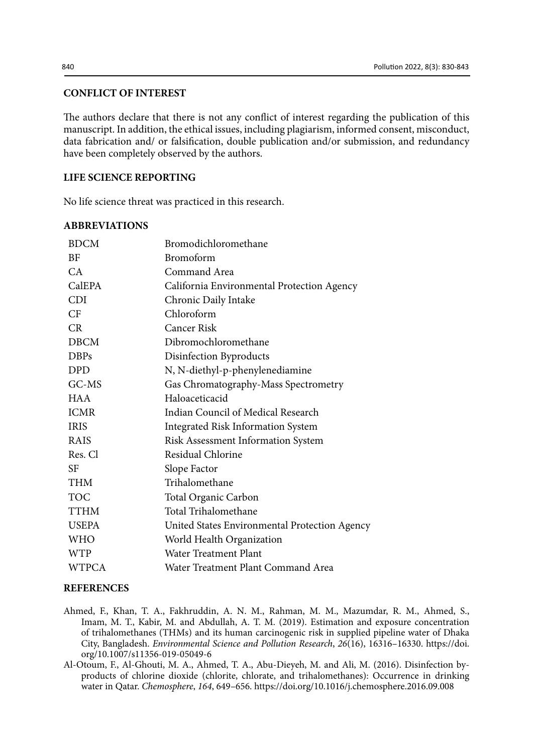## **CONFLICT OF INTEREST**

The authors declare that there is not any conflict of interest regarding the publication of this manuscript. In addition, the ethical issues, including plagiarism, informed consent, misconduct, data fabrication and/ or falsification, double publication and/or submission, and redundancy have been completely observed by the authors.

# **LIFE SCIENCE REPORTING**

No life science threat was practiced in this research.

#### **ABBREVIATIONS**

| <b>BDCM</b>  | Bromodichloromethane                          |
|--------------|-----------------------------------------------|
| BF           | Bromoform                                     |
| CA           | Command Area                                  |
| CalEPA       | California Environmental Protection Agency    |
| <b>CDI</b>   | Chronic Daily Intake                          |
| CF           | Chloroform                                    |
| CR           | <b>Cancer Risk</b>                            |
| <b>DBCM</b>  | Dibromochloromethane                          |
| <b>DBPs</b>  | Disinfection Byproducts                       |
| <b>DPD</b>   | N, N-diethyl-p-phenylenediamine               |
| GC-MS        | Gas Chromatography-Mass Spectrometry          |
| <b>HAA</b>   | Haloaceticacid                                |
| <b>ICMR</b>  | Indian Council of Medical Research            |
| <b>IRIS</b>  | <b>Integrated Risk Information System</b>     |
| <b>RAIS</b>  | <b>Risk Assessment Information System</b>     |
| Res. Cl      | <b>Residual Chlorine</b>                      |
| SF           | Slope Factor                                  |
| <b>THM</b>   | Trihalomethane                                |
| <b>TOC</b>   | Total Organic Carbon                          |
| <b>TTHM</b>  | Total Trihalomethane                          |
| <b>USEPA</b> | United States Environmental Protection Agency |
| <b>WHO</b>   | World Health Organization                     |
| <b>WTP</b>   | <b>Water Treatment Plant</b>                  |
| <b>WTPCA</b> | Water Treatment Plant Command Area            |

#### **REFERENCES**

- Ahmed, F., Khan, T. A., Fakhruddin, A. N. M., Rahman, M. M., Mazumdar, R. M., Ahmed, S., Imam, M. T., Kabir, M. and Abdullah, A. T. M. (2019). Estimation and exposure concentration of trihalomethanes (THMs) and its human carcinogenic risk in supplied pipeline water of Dhaka City, Bangladesh. *Environmental Science and Pollution Research*, *26*(16), 16316–16330. https://doi. org/10.1007/s11356-019-05049-6
- Al-Otoum, F., Al-Ghouti, M. A., Ahmed, T. A., Abu-Dieyeh, M. and Ali, M. (2016). Disinfection byproducts of chlorine dioxide (chlorite, chlorate, and trihalomethanes): Occurrence in drinking water in Qatar. *Chemosphere*, *164*, 649–656. https://doi.org/10.1016/j.chemosphere.2016.09.008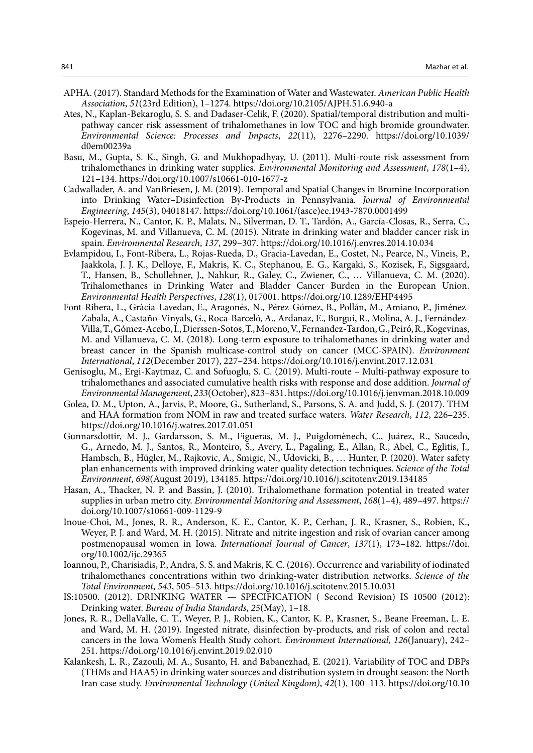- APHA. (2017). Standard Methods for the Examination of Water and Wastewater. *American Public Health Association*, *51*(23rd Edition), 1–1274. https://doi.org/10.2105/AJPH.51.6.940-a
- Ates, N., Kaplan-Bekaroglu, S. S. and Dadaser-Celik, F. (2020). Spatial/temporal distribution and multipathway cancer risk assessment of trihalomethanes in low TOC and high bromide groundwater. *Environmental Science: Processes and Impacts*, *22*(11), 2276–2290. https://doi.org/10.1039/ d0em00239a
- Basu, M., Gupta, S. K., Singh, G. and Mukhopadhyay, U. (2011). Multi-route risk assessment from trihalomethanes in drinking water supplies. *Environmental Monitoring and Assessment*, *178*(1–4), 121–134. https://doi.org/10.1007/s10661-010-1677-z
- Cadwallader, A. and VanBriesen, J. M. (2019). Temporal and Spatial Changes in Bromine Incorporation into Drinking Water–Disinfection By-Products in Pennsylvania. *Journal of Environmental Engineering*, *145*(3), 04018147. https://doi.org/10.1061/(asce)ee.1943-7870.0001499
- Espejo-Herrera, N., Cantor, K. P., Malats, N., Silverman, D. T., Tardón, A., García-Closas, R., Serra, C., Kogevinas, M. and Villanueva, C. M. (2015). Nitrate in drinking water and bladder cancer risk in spain. *Environmental Research*, *137*, 299–307. https://doi.org/10.1016/j.envres.2014.10.034
- Evlampidou, I., Font-Ribera, L., Rojas-Rueda, D., Gracia-Lavedan, E., Costet, N., Pearce, N., Vineis, P., Jaakkola, J. J. K., Delloye, F., Makris, K. C., Stephanou, E. G., Kargaki, S., Kozisek, F., Sigsgaard, T., Hansen, B., Schullehner, J., Nahkur, R., Galey, C., Zwiener, C., … Villanueva, C. M. (2020). Trihalomethanes in Drinking Water and Bladder Cancer Burden in the European Union. *Environmental Health Perspectives*, *128*(1), 017001. https://doi.org/10.1289/EHP4495
- Font-Ribera, L., Gràcia-Lavedan, E., Aragonés, N., Pérez-Gómez, B., Pollán, M., Amiano, P., Jiménez-Zabala, A., Castaño-Vinyals, G., Roca-Barceló, A., Ardanaz, E., Burgui, R., Molina, A. J., Fernández-Villa, T., Gómez-Acebo, I., Dierssen-Sotos, T., Moreno, V., Fernandez-Tardon, G., Peiró, R., Kogevinas, M. and Villanueva, C. M. (2018). Long-term exposure to trihalomethanes in drinking water and breast cancer in the Spanish multicase-control study on cancer (MCC-SPAIN). *Environment International*, *112*(December 2017), 227–234. https://doi.org/10.1016/j.envint.2017.12.031
- Genisoglu, M., Ergi-Kaytmaz, C. and Sofuoglu, S. C. (2019). Multi-route Multi-pathway exposure to trihalomethanes and associated cumulative health risks with response and dose addition. *Journal of Environmental Management*, *233*(October), 823–831. https://doi.org/10.1016/j.jenvman.2018.10.009
- Golea, D. M., Upton, A., Jarvis, P., Moore, G., Sutherland, S., Parsons, S. A. and Judd, S. J. (2017). THM and HAA formation from NOM in raw and treated surface waters. *Water Research*, *112*, 226–235. https://doi.org/10.1016/j.watres.2017.01.051
- Gunnarsdottir, M. J., Gardarsson, S. M., Figueras, M. J., Puigdomènech, C., Juárez, R., Saucedo, G., Arnedo, M. J., Santos, R., Monteiro, S., Avery, L., Pagaling, E., Allan, R., Abel, C., Eglitis, J., Hambsch, B., Hügler, M., Rajkovic, A., Smigic, N., Udovicki, B., … Hunter, P. (2020). Water safety plan enhancements with improved drinking water quality detection techniques. *Science of the Total Environment*, *698*(August 2019), 134185. https://doi.org/10.1016/j.scitotenv.2019.134185
- Hasan, A., Thacker, N. P. and Bassin, J. (2010). Trihalomethane formation potential in treated water supplies in urban metro city. *Environmental Monitoring and Assessment*, *168*(1–4), 489–497. https:// doi.org/10.1007/s10661-009-1129-9
- Inoue-Choi, M., Jones, R. R., Anderson, K. E., Cantor, K. P., Cerhan, J. R., Krasner, S., Robien, K., Weyer, P. J. and Ward, M. H. (2015). Nitrate and nitrite ingestion and risk of ovarian cancer among postmenopausal women in Iowa. *International Journal of Cancer*, *137*(1), 173–182. https://doi. org/10.1002/ijc.29365
- Ioannou, P., Charisiadis, P., Andra, S. S. and Makris, K. C. (2016). Occurrence and variability of iodinated trihalomethanes concentrations within two drinking-water distribution networks. *Science of the Total Environment*, *543*, 505–513. https://doi.org/10.1016/j.scitotenv.2015.10.031
- IS:10500. (2012). DRINKING WATER SPECIFICATION ( Second Revision) IS 10500 (2012): Drinking water. *Bureau of India Standards*, *25*(May), 1–18.
- Jones, R. R., DellaValle, C. T., Weyer, P. J., Robien, K., Cantor, K. P., Krasner, S., Beane Freeman, L. E. and Ward, M. H. (2019). Ingested nitrate, disinfection by-products, and risk of colon and rectal cancers in the Iowa Women's Health Study cohort. *Environment International*, *126*(January), 242– 251. https://doi.org/10.1016/j.envint.2019.02.010
- Kalankesh, L. R., Zazouli, M. A., Susanto, H. and Babanezhad, E. (2021). Variability of TOC and DBPs (THMs and HAA5) in drinking water sources and distribution system in drought season: the North Iran case study. *Environmental Technology (United Kingdom)*, *42*(1), 100–113. https://doi.org/10.10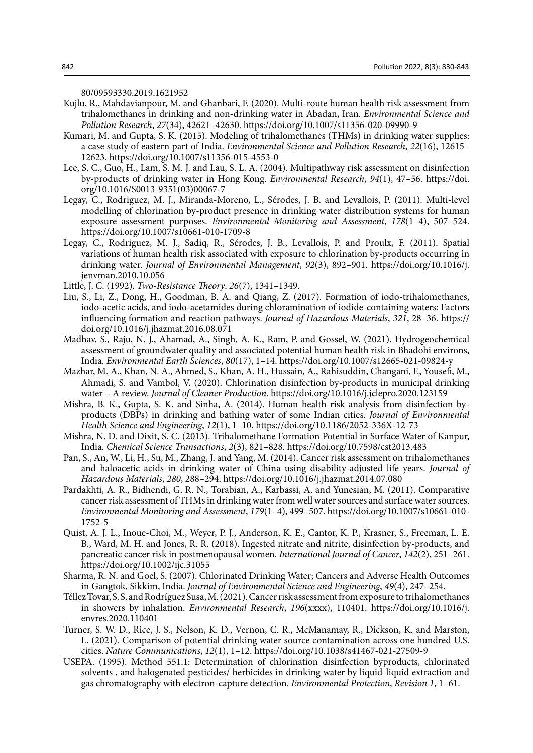80/09593330.2019.1621952

- Kujlu, R., Mahdavianpour, M. and Ghanbari, F. (2020). Multi-route human health risk assessment from trihalomethanes in drinking and non-drinking water in Abadan, Iran. *Environmental Science and Pollution Research*, *27*(34), 42621–42630. https://doi.org/10.1007/s11356-020-09990-9
- Kumari, M. and Gupta, S. K. (2015). Modeling of trihalomethanes (THMs) in drinking water supplies: a case study of eastern part of India. *Environmental Science and Pollution Research*, *22*(16), 12615– 12623. https://doi.org/10.1007/s11356-015-4553-0
- Lee, S. C., Guo, H., Lam, S. M. J. and Lau, S. L. A. (2004). Multipathway risk assessment on disinfection by-products of drinking water in Hong Kong. *Environmental Research*, *94*(1), 47–56. https://doi. org/10.1016/S0013-9351(03)00067-7
- Legay, C., Rodriguez, M. J., Miranda-Moreno, L., Sérodes, J. B. and Levallois, P. (2011). Multi-level modelling of chlorination by-product presence in drinking water distribution systems for human exposure assessment purposes. *Environmental Monitoring and Assessment*, *178*(1–4), 507–524. https://doi.org/10.1007/s10661-010-1709-8
- Legay, C., Rodriguez, M. J., Sadiq, R., Sérodes, J. B., Levallois, P. and Proulx, F. (2011). Spatial variations of human health risk associated with exposure to chlorination by-products occurring in drinking water. *Journal of Environmental Management*, *92*(3), 892–901. https://doi.org/10.1016/j. jenvman.2010.10.056
- Little, J. C. (1992). *Two-Resistance Theory*. *26*(7), 1341–1349.
- Liu, S., Li, Z., Dong, H., Goodman, B. A. and Qiang, Z. (2017). Formation of iodo-trihalomethanes, iodo-acetic acids, and iodo-acetamides during chloramination of iodide-containing waters: Factors influencing formation and reaction pathways. *Journal of Hazardous Materials*, *321*, 28–36. https:// doi.org/10.1016/j.jhazmat.2016.08.071
- Madhav, S., Raju, N. J., Ahamad, A., Singh, A. K., Ram, P. and Gossel, W. (2021). Hydrogeochemical assessment of groundwater quality and associated potential human health risk in Bhadohi environs, India. *Environmental Earth Sciences*, *80*(17), 1–14. https://doi.org/10.1007/s12665-021-09824-y
- Mazhar, M. A., Khan, N. A., Ahmed, S., Khan, A. H., Hussain, A., Rahisuddin, Changani, F., Yousefi, M., Ahmadi, S. and Vambol, V. (2020). Chlorination disinfection by-products in municipal drinking water – A review. *Journal of Cleaner Production*. https://doi.org/10.1016/j.jclepro.2020.123159
- Mishra, B. K., Gupta, S. K. and Sinha, A. (2014). Human health risk analysis from disinfection byproducts (DBPs) in drinking and bathing water of some Indian cities. *Journal of Environmental Health Science and Engineering*, *12*(1), 1–10. https://doi.org/10.1186/2052-336X-12-73
- Mishra, N. D. and Dixit, S. C. (2013). Trihalomethane Formation Potential in Surface Water of Kanpur, India. *Chemical Science Transactions*, *2*(3), 821–828. https://doi.org/10.7598/cst2013.483
- Pan, S., An, W., Li, H., Su, M., Zhang, J. and Yang, M. (2014). Cancer risk assessment on trihalomethanes and haloacetic acids in drinking water of China using disability-adjusted life years. *Journal of Hazardous Materials*, *280*, 288–294. https://doi.org/10.1016/j.jhazmat.2014.07.080
- Pardakhti, A. R., Bidhendi, G. R. N., Torabian, A., Karbassi, A. and Yunesian, M. (2011). Comparative cancer risk assessment of THMs in drinking water from well water sources and surface water sources. *Environmental Monitoring and Assessment*, *179*(1–4), 499–507. https://doi.org/10.1007/s10661-010- 1752-5
- Quist, A. J. L., Inoue-Choi, M., Weyer, P. J., Anderson, K. E., Cantor, K. P., Krasner, S., Freeman, L. E. B., Ward, M. H. and Jones, R. R. (2018). Ingested nitrate and nitrite, disinfection by-products, and pancreatic cancer risk in postmenopausal women. *International Journal of Cancer*, *142*(2), 251–261. https://doi.org/10.1002/ijc.31055
- Sharma, R. N. and Goel, S. (2007). Chlorinated Drinking Water; Cancers and Adverse Health Outcomes in Gangtok, Sikkim, India. *Journal of Environmental Science and Engineering*, *49*(4), 247–254.
- Téllez Tovar, S. S. and Rodríguez Susa, M. (2021). Cancer risk assessment from exposure to trihalomethanes in showers by inhalation. *Environmental Research*, *196*(xxxx), 110401. https://doi.org/10.1016/j. envres.2020.110401
- Turner, S. W. D., Rice, J. S., Nelson, K. D., Vernon, C. R., McManamay, R., Dickson, K. and Marston, L. (2021). Comparison of potential drinking water source contamination across one hundred U.S. cities. *Nature Communications*, *12*(1), 1–12. https://doi.org/10.1038/s41467-021-27509-9
- USEPA. (1995). Method 551.1: Determination of chlorination disinfection byproducts, chlorinated solvents , and halogenated pesticides/ herbicides in drinking water by liquid-liquid extraction and gas chromatography with electron-capture detection. *Environmental Protection*, *Revision 1*, 1–61.